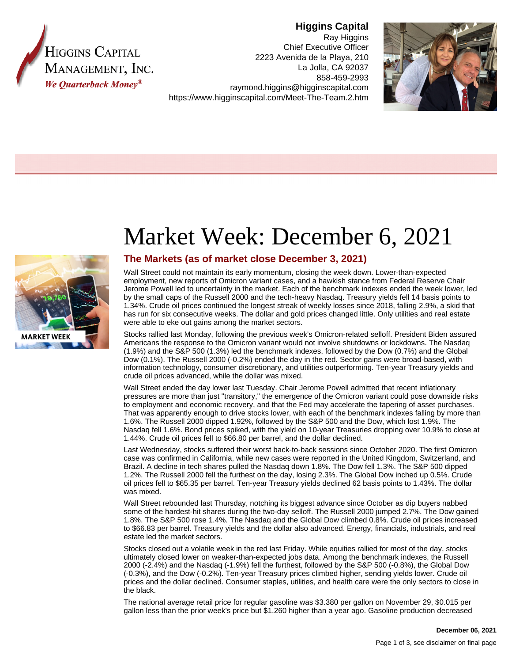

# **Higgins Capital**

Ray Higgins Chief Executive Officer 2223 Avenida de la Playa, 210 La Jolla, CA 92037 858-459-2993 raymond.higgins@higginscapital.com https://www.higginscapital.com/Meet-The-Team.2.htm





# Market Week: December 6, 2021

## **The Markets (as of market close December 3, 2021)**

Wall Street could not maintain its early momentum, closing the week down. Lower-than-expected employment, new reports of Omicron variant cases, and a hawkish stance from Federal Reserve Chair Jerome Powell led to uncertainty in the market. Each of the benchmark indexes ended the week lower, led by the small caps of the Russell 2000 and the tech-heavy Nasdaq. Treasury yields fell 14 basis points to 1.34%. Crude oil prices continued the longest streak of weekly losses since 2018, falling 2.9%, a skid that has run for six consecutive weeks. The dollar and gold prices changed little. Only utilities and real estate were able to eke out gains among the market sectors.

Stocks rallied last Monday, following the previous week's Omicron-related selloff. President Biden assured Americans the response to the Omicron variant would not involve shutdowns or lockdowns. The Nasdaq (1.9%) and the S&P 500 (1.3%) led the benchmark indexes, followed by the Dow (0.7%) and the Global Dow (0.1%). The Russell 2000 (-0.2%) ended the day in the red. Sector gains were broad-based, with information technology, consumer discretionary, and utilities outperforming. Ten-year Treasury yields and crude oil prices advanced, while the dollar was mixed.

Wall Street ended the day lower last Tuesday. Chair Jerome Powell admitted that recent inflationary pressures are more than just "transitory," the emergence of the Omicron variant could pose downside risks to employment and economic recovery, and that the Fed may accelerate the tapering of asset purchases. That was apparently enough to drive stocks lower, with each of the benchmark indexes falling by more than 1.6%. The Russell 2000 dipped 1.92%, followed by the S&P 500 and the Dow, which lost 1.9%. The Nasdaq fell 1.6%. Bond prices spiked, with the yield on 10-year Treasuries dropping over 10.9% to close at 1.44%. Crude oil prices fell to \$66.80 per barrel, and the dollar declined.

Last Wednesday, stocks suffered their worst back-to-back sessions since October 2020. The first Omicron case was confirmed in California, while new cases were reported in the United Kingdom, Switzerland, and Brazil. A decline in tech shares pulled the Nasdaq down 1.8%. The Dow fell 1.3%. The S&P 500 dipped 1.2%. The Russell 2000 fell the furthest on the day, losing 2.3%. The Global Dow inched up 0.5%. Crude oil prices fell to \$65.35 per barrel. Ten-year Treasury yields declined 62 basis points to 1.43%. The dollar was mixed.

Wall Street rebounded last Thursday, notching its biggest advance since October as dip buyers nabbed some of the hardest-hit shares during the two-day selloff. The Russell 2000 jumped 2.7%. The Dow gained 1.8%. The S&P 500 rose 1.4%. The Nasdaq and the Global Dow climbed 0.8%. Crude oil prices increased to \$66.83 per barrel. Treasury yields and the dollar also advanced. Energy, financials, industrials, and real estate led the market sectors.

Stocks closed out a volatile week in the red last Friday. While equities rallied for most of the day, stocks ultimately closed lower on weaker-than-expected jobs data. Among the benchmark indexes, the Russell 2000 (-2.4%) and the Nasdaq (-1.9%) fell the furthest, followed by the S&P 500 (-0.8%), the Global Dow (-0.3%), and the Dow (-0.2%). Ten-year Treasury prices climbed higher, sending yields lower. Crude oil prices and the dollar declined. Consumer staples, utilities, and health care were the only sectors to close in the black.

The national average retail price for regular gasoline was \$3.380 per gallon on November 29, \$0.015 per gallon less than the prior week's price but \$1.260 higher than a year ago. Gasoline production decreased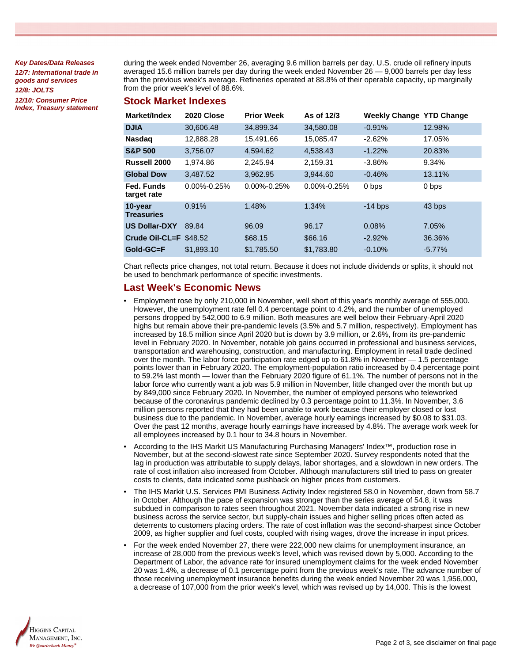**Key Dates/Data Releases 12/7: International trade in goods and services 12/8: JOLTS 12/10: Consumer Price Index, Treasury statement**

during the week ended November 26, averaging 9.6 million barrels per day. U.S. crude oil refinery inputs averaged 15.6 million barrels per day during the week ended November 26 — 9,000 barrels per day less than the previous week's average. Refineries operated at 88.8% of their operable capacity, up marginally from the prior week's level of 88.6%.

#### **Stock Market Indexes**

| Market/Index                 | 2020 Close        | <b>Prior Week</b> | As of 12/3        | <b>Weekly Change YTD Change</b> |           |
|------------------------------|-------------------|-------------------|-------------------|---------------------------------|-----------|
| <b>DJIA</b>                  | 30,606.48         | 34,899.34         | 34,580.08         | $-0.91%$                        | 12.98%    |
| <b>Nasdag</b>                | 12,888.28         | 15.491.66         | 15.085.47         | $-2.62%$                        | 17.05%    |
| <b>S&amp;P 500</b>           | 3,756.07          | 4,594.62          | 4.538.43          | $-1.22%$                        | 20.83%    |
| Russell 2000                 | 1.974.86          | 2.245.94          | 2,159.31          | $-3.86%$                        | 9.34%     |
| <b>Global Dow</b>            | 3,487.52          | 3,962.95          | 3,944.60          | $-0.46%$                        | 13.11%    |
| Fed. Funds<br>target rate    | $0.00\% - 0.25\%$ | $0.00\% - 0.25\%$ | $0.00\% - 0.25\%$ | 0 bps                           | 0 bps     |
| 10-year<br><b>Treasuries</b> | 0.91%             | 1.48%             | 1.34%             | $-14$ bps                       | 43 bps    |
| <b>US Dollar-DXY</b>         | 89.84             | 96.09             | 96.17             | 0.08%                           | 7.05%     |
| Crude Oil-CL=F $$48.52$      |                   | \$68.15           | \$66.16           | $-2.92%$                        | 36.36%    |
| Gold-GC=F                    | \$1,893.10        | \$1,785.50        | \$1,783.80        | $-0.10%$                        | $-5.77\%$ |

Chart reflects price changes, not total return. Because it does not include dividends or splits, it should not be used to benchmark performance of specific investments.

### **Last Week's Economic News**

- Employment rose by only 210,000 in November, well short of this year's monthly average of 555,000. However, the unemployment rate fell 0.4 percentage point to 4.2%, and the number of unemployed persons dropped by 542,000 to 6.9 million. Both measures are well below their February-April 2020 highs but remain above their pre-pandemic levels (3.5% and 5.7 million, respectively). Employment has increased by 18.5 million since April 2020 but is down by 3.9 million, or 2.6%, from its pre-pandemic level in February 2020. In November, notable job gains occurred in professional and business services, transportation and warehousing, construction, and manufacturing. Employment in retail trade declined over the month. The labor force participation rate edged up to 61.8% in November — 1.5 percentage points lower than in February 2020. The employment-population ratio increased by 0.4 percentage point to 59.2% last month — lower than the February 2020 figure of 61.1%. The number of persons not in the labor force who currently want a job was 5.9 million in November, little changed over the month but up by 849,000 since February 2020. In November, the number of employed persons who teleworked because of the coronavirus pandemic declined by 0.3 percentage point to 11.3%. In November, 3.6 million persons reported that they had been unable to work because their employer closed or lost business due to the pandemic. In November, average hourly earnings increased by \$0.08 to \$31.03. Over the past 12 months, average hourly earnings have increased by 4.8%. The average work week for all employees increased by 0.1 hour to 34.8 hours in November.
- According to the IHS Markit US Manufacturing Purchasing Managers' Index™, production rose in November, but at the second-slowest rate since September 2020. Survey respondents noted that the lag in production was attributable to supply delays, labor shortages, and a slowdown in new orders. The rate of cost inflation also increased from October. Although manufacturers still tried to pass on greater costs to clients, data indicated some pushback on higher prices from customers.
- The IHS Markit U.S. Services PMI Business Activity Index registered 58.0 in November, down from 58.7 in October. Although the pace of expansion was stronger than the series average of 54.8, it was subdued in comparison to rates seen throughout 2021. November data indicated a strong rise in new business across the service sector, but supply-chain issues and higher selling prices often acted as deterrents to customers placing orders. The rate of cost inflation was the second-sharpest since October 2009, as higher supplier and fuel costs, coupled with rising wages, drove the increase in input prices.
- For the week ended November 27, there were 222,000 new claims for unemployment insurance, an increase of 28,000 from the previous week's level, which was revised down by 5,000. According to the Department of Labor, the advance rate for insured unemployment claims for the week ended November 20 was 1.4%, a decrease of 0.1 percentage point from the previous week's rate. The advance number of those receiving unemployment insurance benefits during the week ended November 20 was 1,956,000, a decrease of 107,000 from the prior week's level, which was revised up by 14,000. This is the lowest